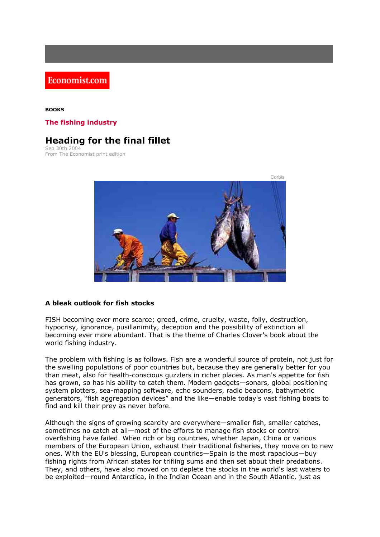Economist.com

## **BOOKS**

**The fishing industry**

## **Heading for the final fillet**

Sep 30th 2004 From The Economist print edition



## **A bleak outlook for fish stocks**

FISH becoming ever more scarce; greed, crime, cruelty, waste, folly, destruction, hypocrisy, ignorance, pusillanimity, deception and the possibility of extinction all becoming ever more abundant. That is the theme of Charles Clover's book about the world fishing industry.

The problem with fishing is as follows. Fish are a wonderful source of protein, not just for the swelling populations of poor countries but, because they are generally better for you than meat, also for health-conscious guzzlers in richer places. As man's appetite for fish has grown, so has his ability to catch them. Modern gadgets—sonars, global positioning system plotters, sea-mapping software, echo sounders, radio beacons, bathymetric generators, "fish aggregation devices" and the like—enable today's vast fishing boats to find and kill their prey as never before.

Although the signs of growing scarcity are everywhere—smaller fish, smaller catches, sometimes no catch at all—most of the efforts to manage fish stocks or control overfishing have failed. When rich or big countries, whether Japan, China or various members of the European Union, exhaust their traditional fisheries, they move on to new ones. With the EU's blessing, European countries—Spain is the most rapacious—buy fishing rights from African states for trifling sums and then set about their predations. They, and others, have also moved on to deplete the stocks in the world's last waters to be exploited—round Antarctica, in the Indian Ocean and in the South Atlantic, just as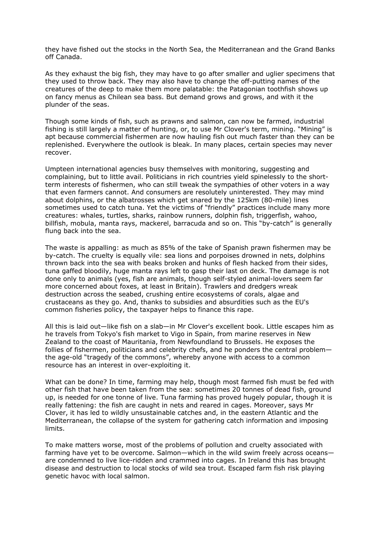they have fished out the stocks in the North Sea, the Mediterranean and the Grand Banks off Canada.

As they exhaust the big fish, they may have to go after smaller and uglier specimens that they used to throw back. They may also have to change the off-putting names of the creatures of the deep to make them more palatable: the Patagonian toothfish shows up on fancy menus as Chilean sea bass. But demand grows and grows, and with it the plunder of the seas.

Though some kinds of fish, such as prawns and salmon, can now be farmed, industrial fishing is still largely a matter of hunting, or, to use Mr Clover's term, mining. "Mining" is apt because commercial fishermen are now hauling fish out much faster than they can be replenished. Everywhere the outlook is bleak. In many places, certain species may never recover.

Umpteen international agencies busy themselves with monitoring, suggesting and complaining, but to little avail. Politicians in rich countries yield spinelessly to the shortterm interests of fishermen, who can still tweak the sympathies of other voters in a way that even farmers cannot. And consumers are resolutely uninterested. They may mind about dolphins, or the albatrosses which get snared by the 125km (80-mile) lines sometimes used to catch tuna. Yet the victims of "friendly" practices include many more creatures: whales, turtles, sharks, rainbow runners, dolphin fish, triggerfish, wahoo, billfish, mobula, manta rays, mackerel, barracuda and so on. This "by-catch" is generally flung back into the sea.

The waste is appalling: as much as 85% of the take of Spanish prawn fishermen may be by-catch. The cruelty is equally vile: sea lions and porpoises drowned in nets, dolphins thrown back into the sea with beaks broken and hunks of flesh hacked from their sides, tuna gaffed bloodily, huge manta rays left to gasp their last on deck. The damage is not done only to animals (yes, fish are animals, though self-styled animal-lovers seem far more concerned about foxes, at least in Britain). Trawlers and dredgers wreak destruction across the seabed, crushing entire ecosystems of corals, algae and crustaceans as they go. And, thanks to subsidies and absurdities such as the EU's common fisheries policy, the taxpayer helps to finance this rape.

All this is laid out—like fish on a slab—in Mr Clover's excellent book. Little escapes him as he travels from Tokyo's fish market to Vigo in Spain, from marine reserves in New Zealand to the coast of Mauritania, from Newfoundland to Brussels. He exposes the follies of fishermen, politicians and celebrity chefs, and he ponders the central problem the age-old "tragedy of the commons", whereby anyone with access to a common resource has an interest in over-exploiting it.

What can be done? In time, farming may help, though most farmed fish must be fed with other fish that have been taken from the sea: sometimes 20 tonnes of dead fish, ground up, is needed for one tonne of live. Tuna farming has proved hugely popular, though it is really fattening: the fish are caught in nets and reared in cages. Moreover, says Mr Clover, it has led to wildly unsustainable catches and, in the eastern Atlantic and the Mediterranean, the collapse of the system for gathering catch information and imposing limits.

To make matters worse, most of the problems of pollution and cruelty associated with farming have yet to be overcome. Salmon—which in the wild swim freely across oceans are condemned to live lice-ridden and crammed into cages. In Ireland this has brought disease and destruction to local stocks of wild sea trout. Escaped farm fish risk playing genetic havoc with local salmon.